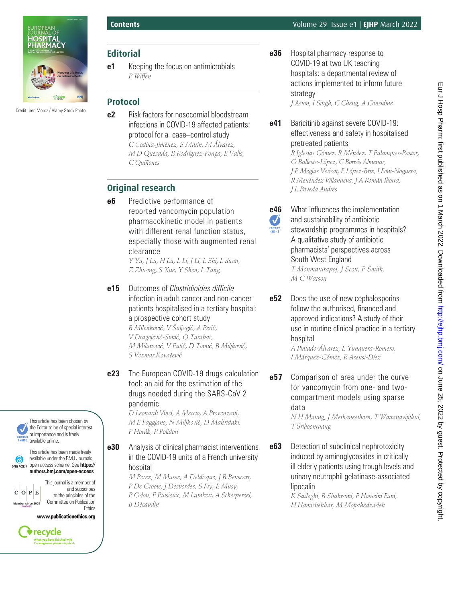

Credit: Iren Moroz / Alamy Stock Photo

# **Editorial**

**e1** Keeping the focus on antimicrobials *P Wiffen*

# **Protocol**

**e2** Risk factors for nosocomial bloodstream infections in COVID-19 affected patients: protocol for a case–control study *C Codina-Jiménez, S Marin, M Álvarez, M D Quesada, B Rodríguez-Ponga, E Valls, C Quiñones*

# **Original research**

**e6** Predictive performance of reported vancomycin population pharmacokinetic model in patients with different renal function status, especially those with augmented renal clearance

*Y Yu, J Lu, H Lu, L Li, J Li, L Shi, L duan, Z Zhuang, S Xue, Y Shen, L Tang*

**e15** Outcomes of *Clostridioides difficile* infection in adult cancer and non-cancer patients hospitalised in a tertiary hospital: a prospective cohort study *B Milenković, V Šuljagić, A Perić,* 

*V Dragojević-Simić, O Tarabar, M Milanović, V Putić, D Tomić, B Miljković, S Vezmar Kovačević*

#### **e23** The European COVID-19 drugs calculation tool: an aid for the estimation of the drugs needed during the SARS-CoV 2 pandemic

*D Leonardi Vinci, A Meccio, A Provenzani, M E Faggiano, N Miljković, D Makridaki, P Horák, P Polidori*

#### **e30** Analysis of clinical pharmacist interventions in the COVID-19 units of a French university hospital

*M Perez, M Masse, A Deldicque, J B Beuscart, P De Groote, J Desbordes, S Fry, E Musy, P Odou, F Puisieux, M Lambert, A Scherpereel, B Décaudin*

**e36** Hospital pharmacy response to COVID-19 at two UK teaching hospitals: a departmental review of actions implemented to inform future strategy

*J Aston, I Singh, C Cheng, A Considine*

### **e41** Baricitinib against severe COVID-19: effectiveness and safety in hospitalised pretreated patients

*R Iglesias Gómez, R Méndez, T Palanques-Pastor, O Ballesta-López, C Borrás Almenar, J E Megías Vericat, E López-Briz, I Font-Noguera, R Menéndez Villanueva, J A Román Iborra, J L Poveda Andrés*

- **e46** What influences the implementation  $\blacktriangledown$ and sustainability of antibiotic EDITOR'S stewardship programmes in hospitals? A qualitative study of antibiotic pharmacists' perspectives across South West England *T Monmaturapoj, J Scott, P Smith, M C Watson*
- **e52** Does the use of new cephalosporins follow the authorised, financed and approved indications? A study of their use in routine clinical practice in a tertiary hospital

*A Pintado-Álvarez, L Yunquera-Romero, I Márquez-Gómez, R Asensi-Díez*

**e57** Comparison of area under the curve for vancomycin from one- and twocompartment models using sparse data

*N H Maung, J Methaneethorn, T Wattanavijitkul, T Sriboonruang*

**e63** Detection of subclinical nephrotoxicity induced by aminoglycosides in critically ill elderly patients using trough levels and urinary neutrophil gelatinase-associated lipocalin

*K Sadeghi, B Shahrami, F Hosseini Fani, H Hamishehkar, M Mojtahedzadeh*

This article has been chosen by the Editor to be of special interest or importance and is freely available online.

This article has been made freely available under the BMJ Journals (6) open access scheme. See **https:// authors.bmj.com/open-access**

**Member since 2008 JM00025**

 $C$   $O$   $P$   $E$ 

This journal is a member of and subscribes to the principles of the Committee on Publication **Ethics** 

www.publicationethics.org

recycle .<br>When you have finished with<br>his magazine please recycle it.